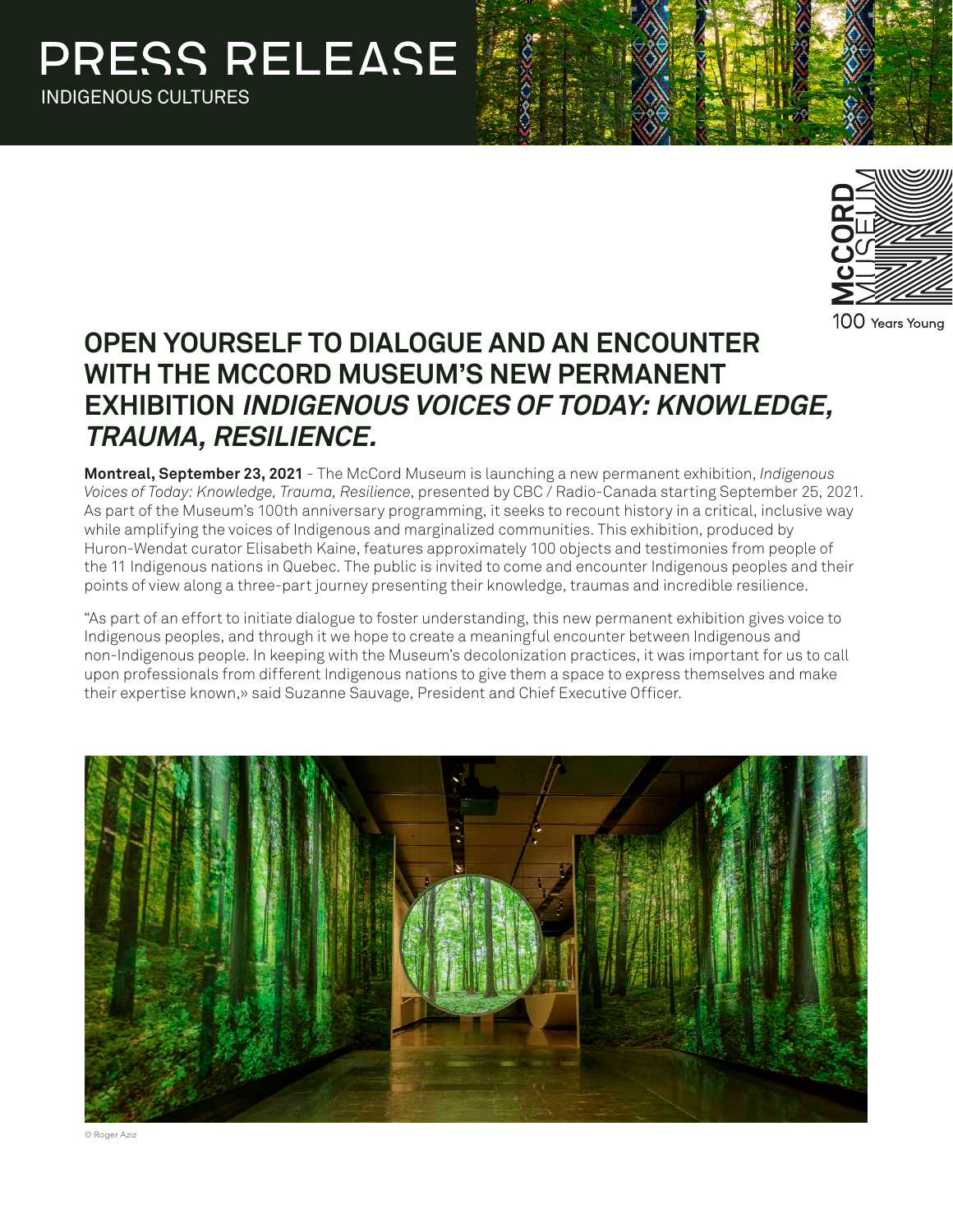

100 Years Young

# **OPEN YOURSELF TO DIALOGUE AND AN ENCOUNTER WITH THE MCCORD MUSEUM'S NEW PERMANENT EXHIBITION INDIGENOUS VOICES OF TODAY: KNOWLEDGE, TRAUMA, RESILIENCE.**

**Montreal, September 23, 2021** - The McCord Museum is launching a new permanent exhibition, *Indigenous Voices of Today: Knowledge, Trauma, Resilience*, presented by CBC / Radio-Canada starting September 25, 2021. As part of the Museum's 100th anniversary programming, it seeks to recount history in a critical, inclusive way while amplifying the voices of Indigenous and marginalized communities. This exhibition, produced by Huron-Wendat curator Elisabeth Kaine, features approximately 100 objects and testimonies from people of the 11 Indigenous nations in Quebec. The public is invited to come and encounter Indigenous peoples and their points of view along a three-part journey presenting their knowledge, traumas and incredible resilience.

"As part of an effort to initiate dialogue to foster understanding, this new permanent exhibition gives voice to Indigenous peoples, and through it we hope to create a meaningful encounter between Indigenous and non-Indigenous people. In keeping with the Museum's decolonization practices, it was important for us to call upon professionals from different Indigenous nations to give them a space to express themselves and make their expertise known,» said Suzanne Sauvage, President and Chief Executive Officer.



© Roger Aziz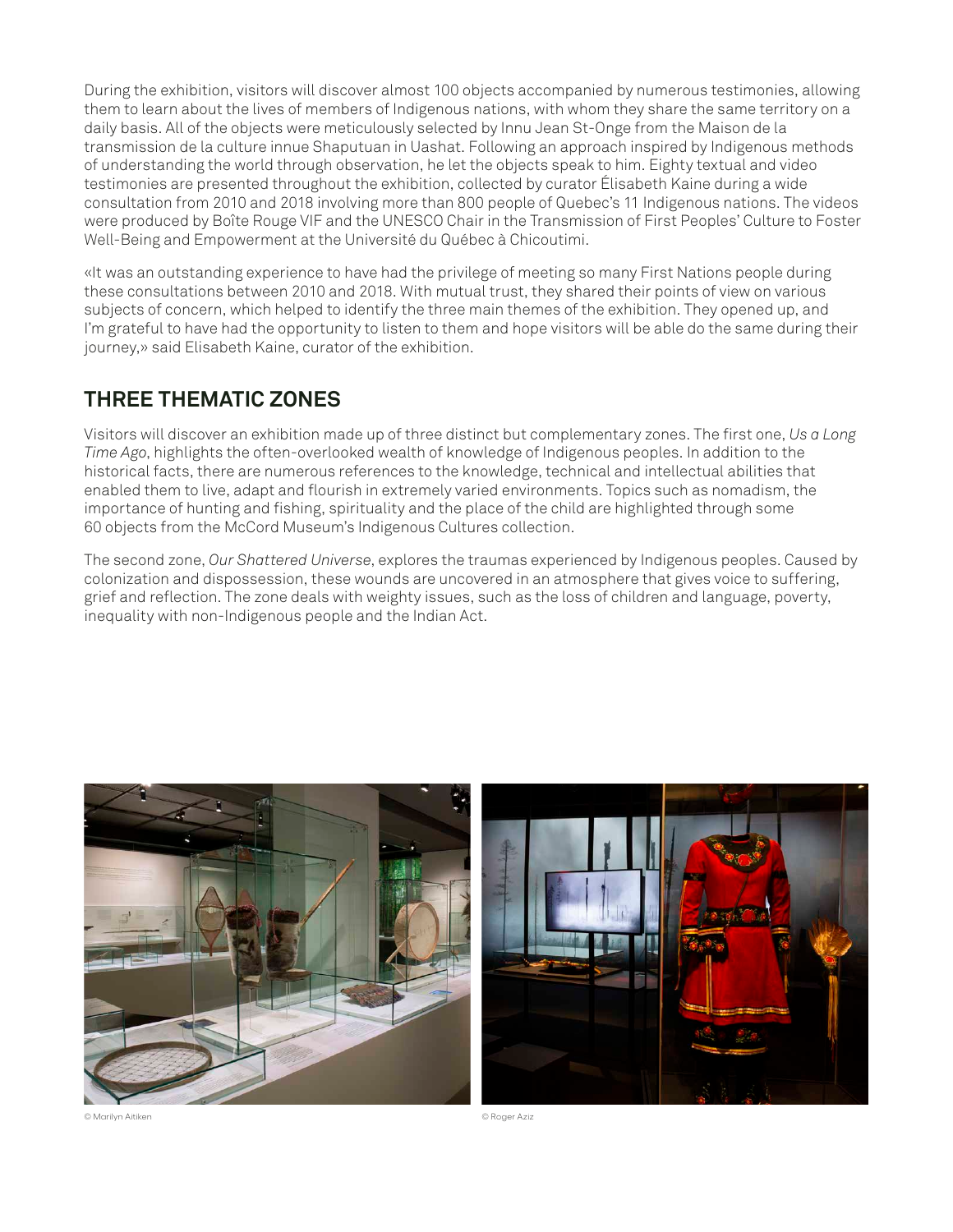During the exhibition, visitors will discover almost 100 objects accompanied by numerous testimonies, allowing them to learn about the lives of members of Indigenous nations, with whom they share the same territory on a daily basis. All of the objects were meticulously selected by Innu Jean St-Onge from the Maison de la transmission de la culture innue Shaputuan in Uashat. Following an approach inspired by Indigenous methods of understanding the world through observation, he let the objects speak to him. Eighty textual and video testimonies are presented throughout the exhibition, collected by curator Élisabeth Kaine during a wide consultation from 2010 and 2018 involving more than 800 people of Quebec's 11 Indigenous nations. The videos were produced by Boîte Rouge VIF and the UNESCO Chair in the Transmission of First Peoples' Culture to Foster Well-Being and Empowerment at the Université du Québec à Chicoutimi.

«It was an outstanding experience to have had the privilege of meeting so many First Nations people during these consultations between 2010 and 2018. With mutual trust, they shared their points of view on various subjects of concern, which helped to identify the three main themes of the exhibition. They opened up, and I'm grateful to have had the opportunity to listen to them and hope visitors will be able do the same during their journey,» said Elisabeth Kaine, curator of the exhibition.

## **THREE THEMATIC ZONES**

Visitors will discover an exhibition made up of three distinct but complementary zones. The first one, *Us a Long Time Ago*, highlights the often-overlooked wealth of knowledge of Indigenous peoples. In addition to the historical facts, there are numerous references to the knowledge, technical and intellectual abilities that enabled them to live, adapt and flourish in extremely varied environments. Topics such as nomadism, the importance of hunting and fishing, spirituality and the place of the child are highlighted through some 60 objects from the McCord Museum's Indigenous Cultures collection.

The second zone, *Our Shattered Universe*, explores the traumas experienced by Indigenous peoples. Caused by colonization and dispossession, these wounds are uncovered in an atmosphere that gives voice to suffering, grief and reflection. The zone deals with weighty issues, such as the loss of children and language, poverty, inequality with non-Indigenous people and the Indian Act.





© Marilyn Aitiken © Roger Aziz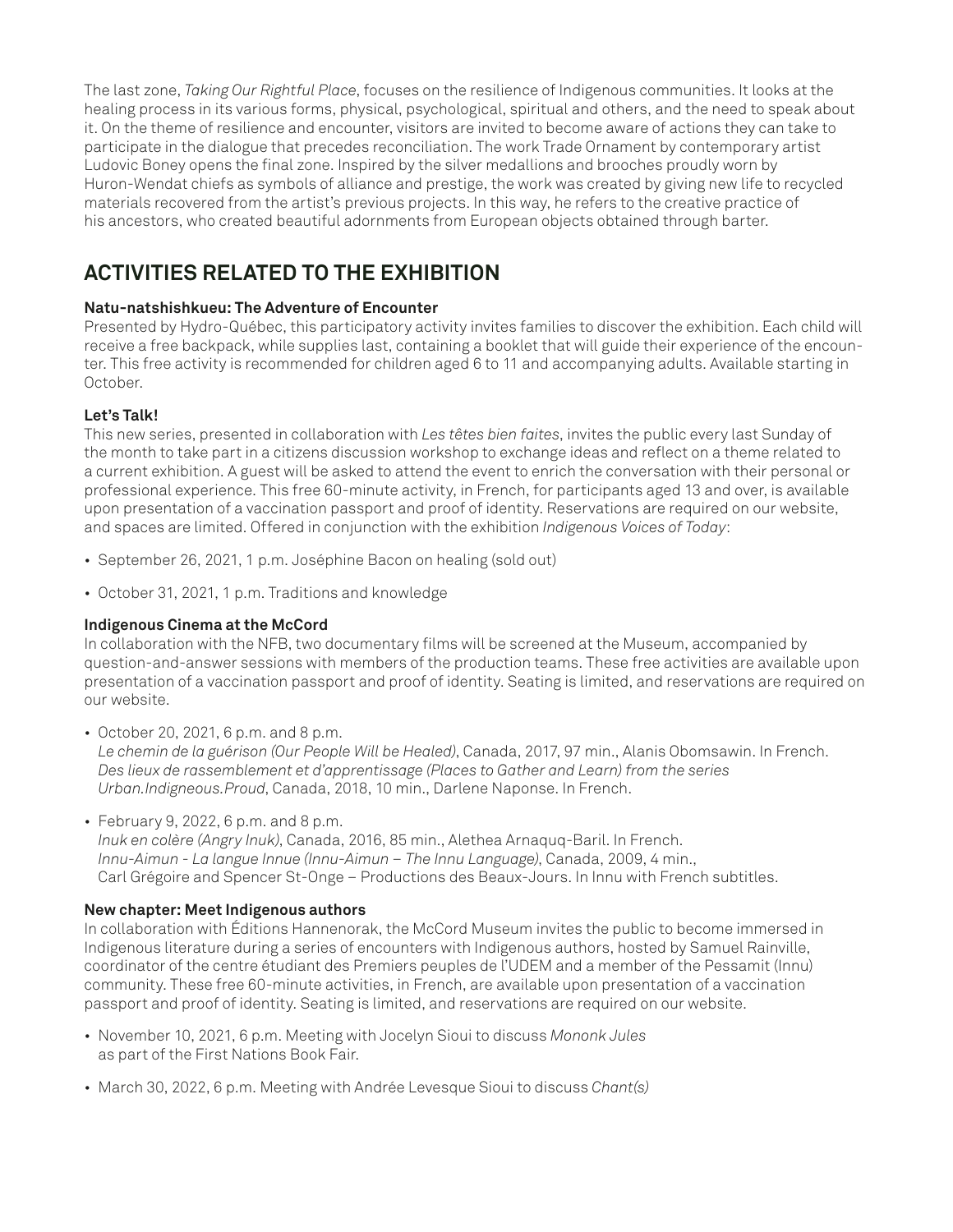The last zone, *Taking Our Rightful Place*, focuses on the resilience of Indigenous communities. It looks at the healing process in its various forms, physical, psychological, spiritual and others, and the need to speak about it. On the theme of resilience and encounter, visitors are invited to become aware of actions they can take to participate in the dialogue that precedes reconciliation. The work Trade Ornament by contemporary artist Ludovic Boney opens the final zone. Inspired by the silver medallions and brooches proudly worn by Huron-Wendat chiefs as symbols of alliance and prestige, the work was created by giving new life to recycled materials recovered from the artist's previous projects. In this way, he refers to the creative practice of his ancestors, who created beautiful adornments from European objects obtained through barter.

# **ACTIVITIES RELATED TO THE EXHIBITION**

### **Natu-natshishkueu: The Adventure of Encounter**

Presented by Hydro-Québec, this participatory activity invites families to discover the exhibition. Each child will receive a free backpack, while supplies last, containing a booklet that will guide their experience of the encounter. This free activity is recommended for children aged 6 to 11 and accompanying adults. Available starting in October.

#### **Let's Talk!**

This new series, presented in collaboration with *Les têtes bien faites*, invites the public every last Sunday of the month to take part in a citizens discussion workshop to exchange ideas and reflect on a theme related to a current exhibition. A guest will be asked to attend the event to enrich the conversation with their personal or professional experience. This free 60-minute activity, in French, for participants aged 13 and over, is available upon presentation of a vaccination passport and proof of identity. Reservations are required on our website, and spaces are limited. Offered in conjunction with the exhibition *Indigenous Voices of Today*:

- September 26, 2021, 1 p.m. Joséphine Bacon on healing (sold out)
- October 31, 2021, 1 p.m. Traditions and knowledge

### **Indigenous Cinema at the McCord**

In collaboration with the NFB, two documentary films will be screened at the Museum, accompanied by question-and-answer sessions with members of the production teams. These free activities are available upon presentation of a vaccination passport and proof of identity. Seating is limited, and reservations are required on our website.

• October 20, 2021, 6 p.m. and 8 p.m.

*Le chemin de la guérison (Our People Will be Healed)*, Canada, 2017, 97 min., Alanis Obomsawin. In French. *Des lieux de rassemblement et d'apprentissage (Places to Gather and Learn) from the series Urban.Indigneous.Proud*, Canada, 2018, 10 min., Darlene Naponse. In French.

• February 9, 2022, 6 p.m. and 8 p.m.

*Inuk en colère (Angry Inuk)*, Canada, 2016, 85 min., Alethea Arnaquq-Baril. In French. *Innu-Aimun - La langue Innue (Innu-Aimun – The Innu Language)*, Canada, 2009, 4 min., Carl Grégoire and Spencer St-Onge – Productions des Beaux-Jours. In Innu with French subtitles.

#### **New chapter: Meet Indigenous authors**

In collaboration with Éditions Hannenorak, the McCord Museum invites the public to become immersed in Indigenous literature during a series of encounters with Indigenous authors, hosted by Samuel Rainville, coordinator of the centre étudiant des Premiers peuples de l'UDEM and a member of the Pessamit (Innu) community. These free 60-minute activities, in French, are available upon presentation of a vaccination passport and proof of identity. Seating is limited, and reservations are required on our website.

- November 10, 2021, 6 p.m. Meeting with Jocelyn Sioui to discuss *Mononk Jules* as part of the First Nations Book Fair.
- March 30, 2022, 6 p.m. Meeting with Andrée Levesque Sioui to discuss *Chant(s)*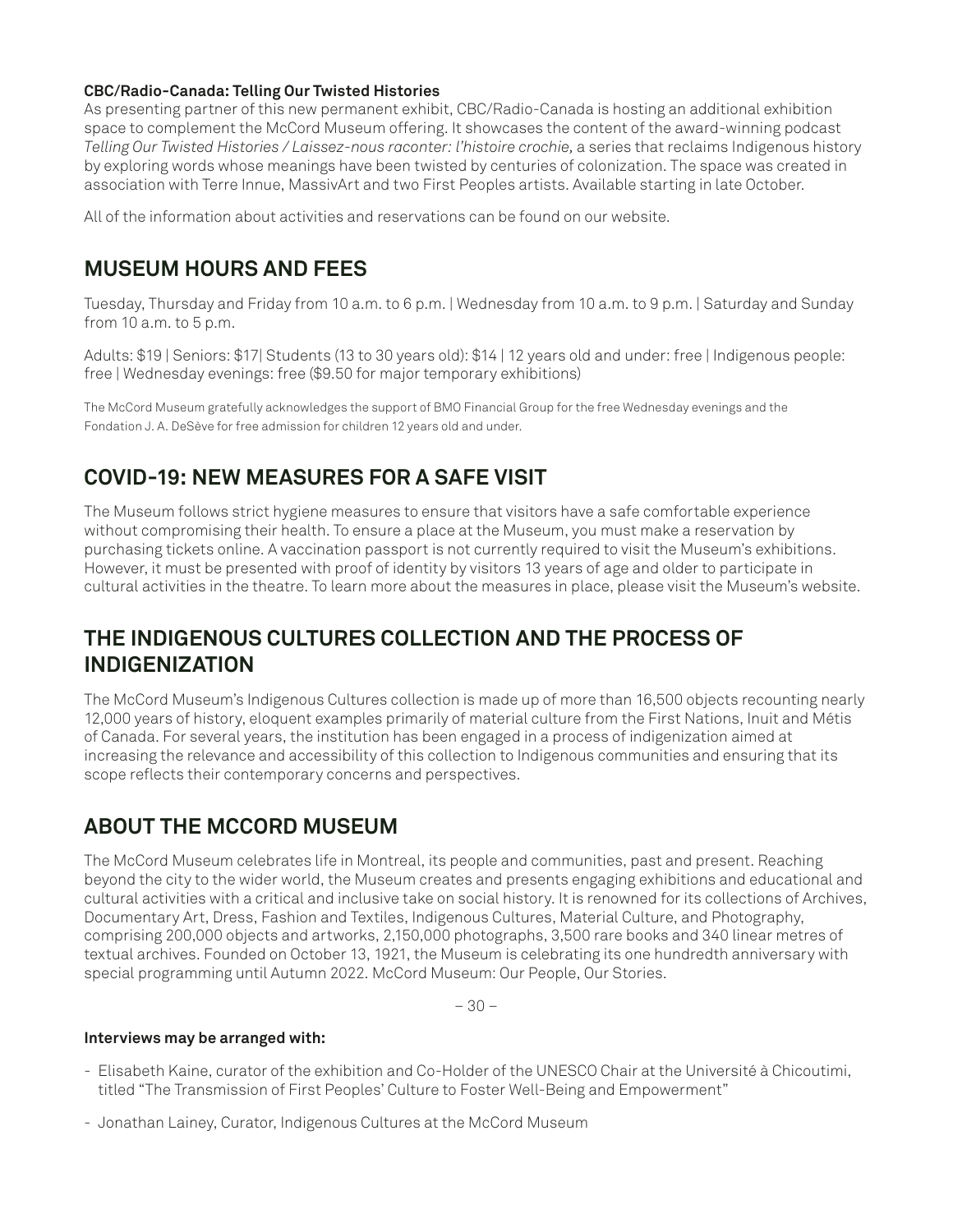#### **CBC/Radio-Canada: Telling Our Twisted Histories**

As presenting partner of this new permanent exhibit, CBC/Radio-Canada is hosting an additional exhibition space to complement the McCord Museum offering. It showcases the content of the award-winning podcast *Telling Our Twisted Histories / Laissez-nous raconter: l'histoire crochie,* a series that reclaims Indigenous history by exploring words whose meanings have been twisted by centuries of colonization. The space was created in association with Terre Innue, MassivArt and two First Peoples artists. Available starting in late October.

All of the information about activities and reservations can be found on our website.

### **MUSEUM HOURS AND FEES**

Tuesday, Thursday and Friday from 10 a.m. to 6 p.m. | Wednesday from 10 a.m. to 9 p.m. | Saturday and Sunday from 10 a.m. to 5 p.m.

Adults: \$19 | Seniors: \$17| Students (13 to 30 years old): \$14 | 12 years old and under: free | Indigenous people: free | Wednesday evenings: free (\$9.50 for major temporary exhibitions)

The McCord Museum gratefully acknowledges the support of BMO Financial Group for the free Wednesday evenings and the Fondation J. A. DeSève for free admission for children 12 years old and under.

# **COVID-19: NEW MEASURES FOR A SAFE VISIT**

The Museum follows strict hygiene measures to ensure that visitors have a safe comfortable experience without compromising their health. To ensure a place at the Museum, you must make a reservation by purchasing tickets online. A vaccination passport is not currently required to visit the Museum's exhibitions. However, it must be presented with proof of identity by visitors 13 years of age and older to participate in cultural activities in the theatre. To learn more about the measures in place, please visit the Museum's website.

## **THE INDIGENOUS CULTURES COLLECTION AND THE PROCESS OF INDIGENIZATION**

The McCord Museum's Indigenous Cultures collection is made up of more than 16,500 objects recounting nearly 12,000 years of history, eloquent examples primarily of material culture from the First Nations, Inuit and Métis of Canada. For several years, the institution has been engaged in a process of indigenization aimed at increasing the relevance and accessibility of this collection to Indigenous communities and ensuring that its scope reflects their contemporary concerns and perspectives.

# **ABOUT THE MCCORD MUSEUM**

The McCord Museum celebrates life in Montreal, its people and communities, past and present. Reaching beyond the city to the wider world, the Museum creates and presents engaging exhibitions and educational and cultural activities with a critical and inclusive take on social history. It is renowned for its collections of Archives, Documentary Art, Dress, Fashion and Textiles, Indigenous Cultures, Material Culture, and Photography, comprising 200,000 objects and artworks, 2,150,000 photographs, 3,500 rare books and 340 linear metres of textual archives. Founded on October 13, 1921, the Museum is celebrating its one hundredth anniversary with special programming until Autumn 2022. McCord Museum: Our People, Our Stories.

– 30 –

#### **Interviews may be arranged with:**

- Elisabeth Kaine, curator of the exhibition and Co-Holder of the UNESCO Chair at the Université à Chicoutimi, titled "The Transmission of First Peoples' Culture to Foster Well-Being and Empowerment"
- Jonathan Lainey, Curator, Indigenous Cultures at the McCord Museum